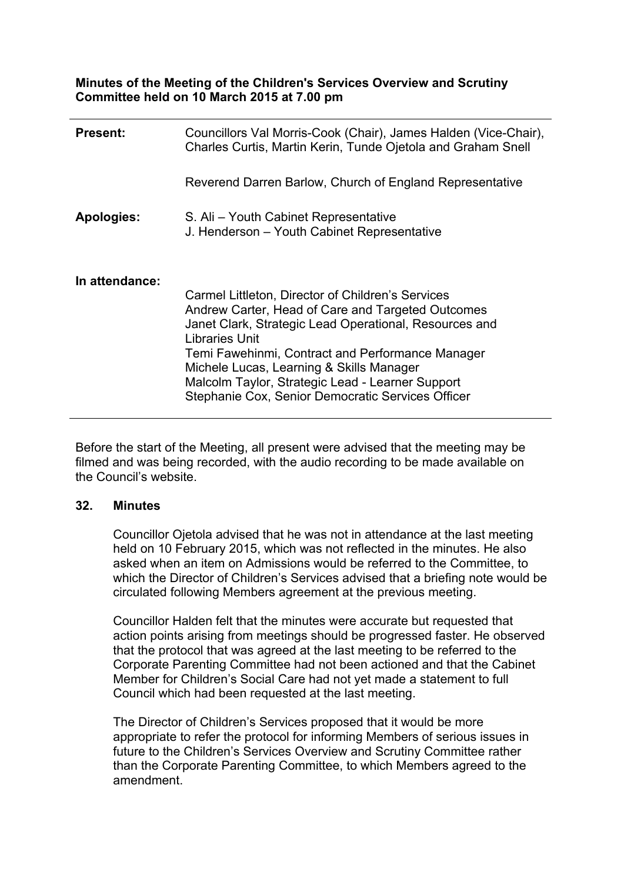**Minutes of the Meeting of the Children's Services Overview and Scrutiny Committee held on 10 March 2015 at 7.00 pm**

| <b>Present:</b>   | Councillors Val Morris-Cook (Chair), James Halden (Vice-Chair),<br>Charles Curtis, Martin Kerin, Tunde Ojetola and Graham Snell                                                                                                                                                                                                                                                             |
|-------------------|---------------------------------------------------------------------------------------------------------------------------------------------------------------------------------------------------------------------------------------------------------------------------------------------------------------------------------------------------------------------------------------------|
|                   | Reverend Darren Barlow, Church of England Representative                                                                                                                                                                                                                                                                                                                                    |
| <b>Apologies:</b> | S. Ali – Youth Cabinet Representative<br>J. Henderson - Youth Cabinet Representative                                                                                                                                                                                                                                                                                                        |
| In attendance:    | Carmel Littleton, Director of Children's Services<br>Andrew Carter, Head of Care and Targeted Outcomes<br>Janet Clark, Strategic Lead Operational, Resources and<br>Libraries Unit<br>Temi Fawehinmi, Contract and Performance Manager<br>Michele Lucas, Learning & Skills Manager<br>Malcolm Taylor, Strategic Lead - Learner Support<br>Stephanie Cox, Senior Democratic Services Officer |

Before the start of the Meeting, all present were advised that the meeting may be filmed and was being recorded, with the audio recording to be made available on the Council's website.

#### **32. Minutes**

Councillor Ojetola advised that he was not in attendance at the last meeting held on 10 February 2015, which was not reflected in the minutes. He also asked when an item on Admissions would be referred to the Committee, to which the Director of Children's Services advised that a briefing note would be circulated following Members agreement at the previous meeting.

Councillor Halden felt that the minutes were accurate but requested that action points arising from meetings should be progressed faster. He observed that the protocol that was agreed at the last meeting to be referred to the Corporate Parenting Committee had not been actioned and that the Cabinet Member for Children's Social Care had not yet made a statement to full Council which had been requested at the last meeting.

The Director of Children's Services proposed that it would be more appropriate to refer the protocol for informing Members of serious issues in future to the Children's Services Overview and Scrutiny Committee rather than the Corporate Parenting Committee, to which Members agreed to the amendment.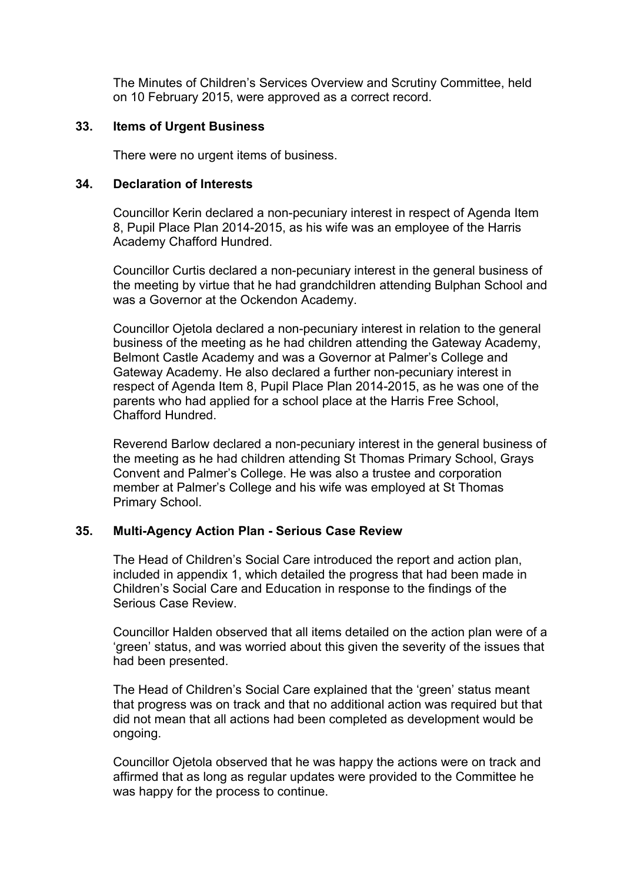The Minutes of Children's Services Overview and Scrutiny Committee, held on 10 February 2015, were approved as a correct record.

### **33. Items of Urgent Business**

There were no urgent items of business.

### **34. Declaration of Interests**

Councillor Kerin declared a non-pecuniary interest in respect of Agenda Item 8, Pupil Place Plan 2014-2015, as his wife was an employee of the Harris Academy Chafford Hundred.

Councillor Curtis declared a non-pecuniary interest in the general business of the meeting by virtue that he had grandchildren attending Bulphan School and was a Governor at the Ockendon Academy.

Councillor Ojetola declared a non-pecuniary interest in relation to the general business of the meeting as he had children attending the Gateway Academy, Belmont Castle Academy and was a Governor at Palmer's College and Gateway Academy. He also declared a further non-pecuniary interest in respect of Agenda Item 8, Pupil Place Plan 2014-2015, as he was one of the parents who had applied for a school place at the Harris Free School, Chafford Hundred.

Reverend Barlow declared a non-pecuniary interest in the general business of the meeting as he had children attending St Thomas Primary School, Grays Convent and Palmer's College. He was also a trustee and corporation member at Palmer's College and his wife was employed at St Thomas Primary School.

# **35. Multi-Agency Action Plan - Serious Case Review**

The Head of Children's Social Care introduced the report and action plan, included in appendix 1, which detailed the progress that had been made in Children's Social Care and Education in response to the findings of the Serious Case Review.

Councillor Halden observed that all items detailed on the action plan were of a 'green' status, and was worried about this given the severity of the issues that had been presented.

The Head of Children's Social Care explained that the 'green' status meant that progress was on track and that no additional action was required but that did not mean that all actions had been completed as development would be ongoing.

Councillor Ojetola observed that he was happy the actions were on track and affirmed that as long as regular updates were provided to the Committee he was happy for the process to continue.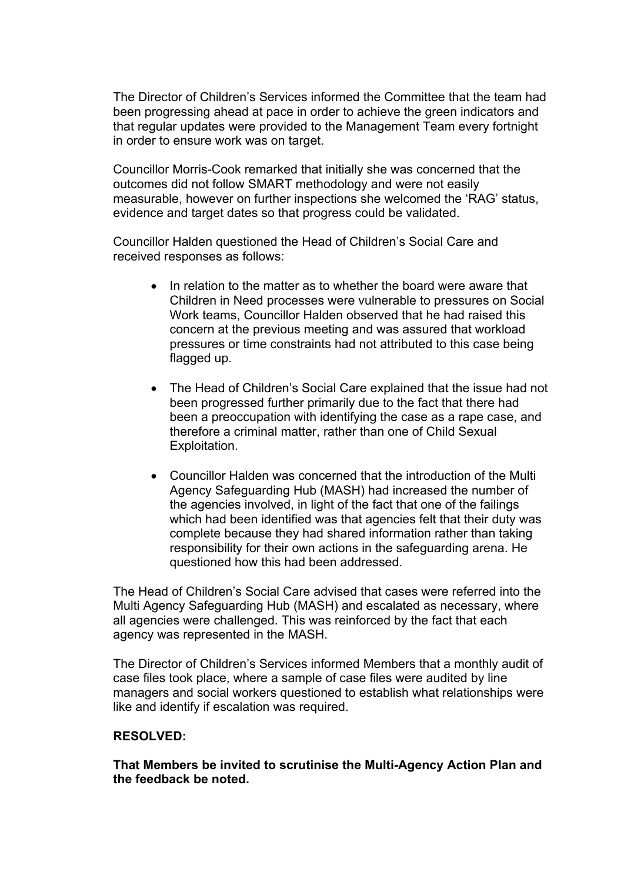The Director of Children's Services informed the Committee that the team had been progressing ahead at pace in order to achieve the green indicators and that regular updates were provided to the Management Team every fortnight in order to ensure work was on target.

Councillor Morris-Cook remarked that initially she was concerned that the outcomes did not follow SMART methodology and were not easily measurable, however on further inspections she welcomed the 'RAG' status, evidence and target dates so that progress could be validated.

Councillor Halden questioned the Head of Children's Social Care and received responses as follows:

- In relation to the matter as to whether the board were aware that Children in Need processes were vulnerable to pressures on Social Work teams, Councillor Halden observed that he had raised this concern at the previous meeting and was assured that workload pressures or time constraints had not attributed to this case being flagged up.
- The Head of Children's Social Care explained that the issue had not been progressed further primarily due to the fact that there had been a preoccupation with identifying the case as a rape case, and therefore a criminal matter, rather than one of Child Sexual Exploitation.
- Councillor Halden was concerned that the introduction of the Multi Agency Safeguarding Hub (MASH) had increased the number of the agencies involved, in light of the fact that one of the failings which had been identified was that agencies felt that their duty was complete because they had shared information rather than taking responsibility for their own actions in the safeguarding arena. He questioned how this had been addressed.

The Head of Children's Social Care advised that cases were referred into the Multi Agency Safeguarding Hub (MASH) and escalated as necessary, where all agencies were challenged. This was reinforced by the fact that each agency was represented in the MASH.

The Director of Children's Services informed Members that a monthly audit of case files took place, where a sample of case files were audited by line managers and social workers questioned to establish what relationships were like and identify if escalation was required.

# **RESOLVED:**

**That Members be invited to scrutinise the Multi-Agency Action Plan and the feedback be noted.**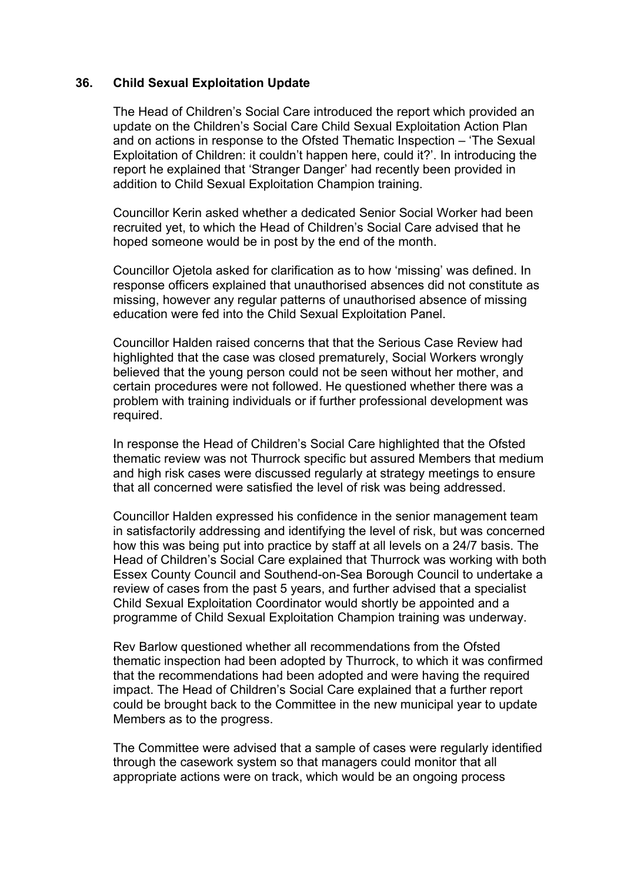### **36. Child Sexual Exploitation Update**

The Head of Children's Social Care introduced the report which provided an update on the Children's Social Care Child Sexual Exploitation Action Plan and on actions in response to the Ofsted Thematic Inspection – 'The Sexual Exploitation of Children: it couldn't happen here, could it?'. In introducing the report he explained that 'Stranger Danger' had recently been provided in addition to Child Sexual Exploitation Champion training.

Councillor Kerin asked whether a dedicated Senior Social Worker had been recruited yet, to which the Head of Children's Social Care advised that he hoped someone would be in post by the end of the month.

Councillor Ojetola asked for clarification as to how 'missing' was defined. In response officers explained that unauthorised absences did not constitute as missing, however any regular patterns of unauthorised absence of missing education were fed into the Child Sexual Exploitation Panel.

Councillor Halden raised concerns that that the Serious Case Review had highlighted that the case was closed prematurely, Social Workers wrongly believed that the young person could not be seen without her mother, and certain procedures were not followed. He questioned whether there was a problem with training individuals or if further professional development was required.

In response the Head of Children's Social Care highlighted that the Ofsted thematic review was not Thurrock specific but assured Members that medium and high risk cases were discussed regularly at strategy meetings to ensure that all concerned were satisfied the level of risk was being addressed.

Councillor Halden expressed his confidence in the senior management team in satisfactorily addressing and identifying the level of risk, but was concerned how this was being put into practice by staff at all levels on a 24/7 basis. The Head of Children's Social Care explained that Thurrock was working with both Essex County Council and Southend-on-Sea Borough Council to undertake a review of cases from the past 5 years, and further advised that a specialist Child Sexual Exploitation Coordinator would shortly be appointed and a programme of Child Sexual Exploitation Champion training was underway.

Rev Barlow questioned whether all recommendations from the Ofsted thematic inspection had been adopted by Thurrock, to which it was confirmed that the recommendations had been adopted and were having the required impact. The Head of Children's Social Care explained that a further report could be brought back to the Committee in the new municipal year to update Members as to the progress.

The Committee were advised that a sample of cases were regularly identified through the casework system so that managers could monitor that all appropriate actions were on track, which would be an ongoing process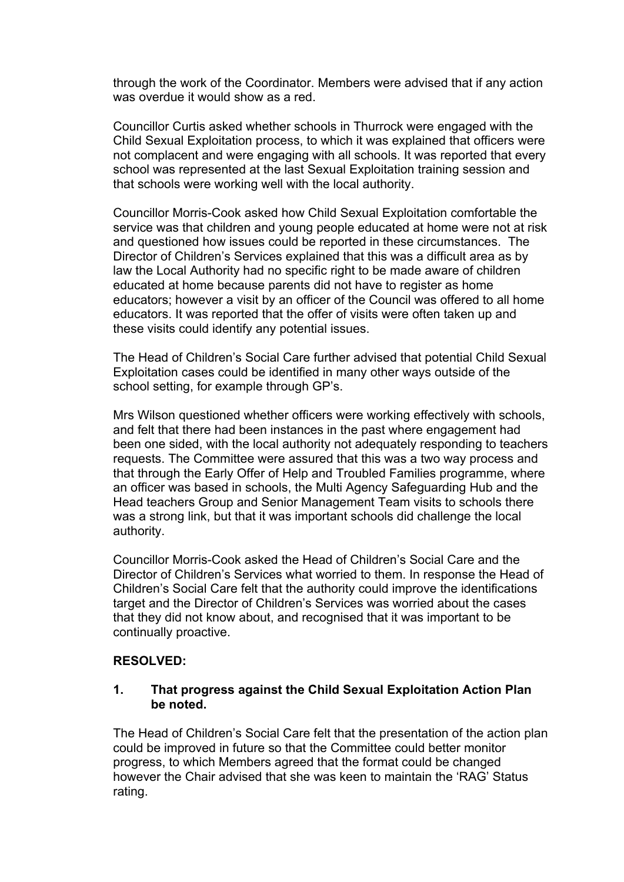through the work of the Coordinator. Members were advised that if any action was overdue it would show as a red.

Councillor Curtis asked whether schools in Thurrock were engaged with the Child Sexual Exploitation process, to which it was explained that officers were not complacent and were engaging with all schools. It was reported that every school was represented at the last Sexual Exploitation training session and that schools were working well with the local authority.

Councillor Morris-Cook asked how Child Sexual Exploitation comfortable the service was that children and young people educated at home were not at risk and questioned how issues could be reported in these circumstances. The Director of Children's Services explained that this was a difficult area as by law the Local Authority had no specific right to be made aware of children educated at home because parents did not have to register as home educators; however a visit by an officer of the Council was offered to all home educators. It was reported that the offer of visits were often taken up and these visits could identify any potential issues.

The Head of Children's Social Care further advised that potential Child Sexual Exploitation cases could be identified in many other ways outside of the school setting, for example through GP's.

Mrs Wilson questioned whether officers were working effectively with schools, and felt that there had been instances in the past where engagement had been one sided, with the local authority not adequately responding to teachers requests. The Committee were assured that this was a two way process and that through the Early Offer of Help and Troubled Families programme, where an officer was based in schools, the Multi Agency Safeguarding Hub and the Head teachers Group and Senior Management Team visits to schools there was a strong link, but that it was important schools did challenge the local authority.

Councillor Morris-Cook asked the Head of Children's Social Care and the Director of Children's Services what worried to them. In response the Head of Children's Social Care felt that the authority could improve the identifications target and the Director of Children's Services was worried about the cases that they did not know about, and recognised that it was important to be continually proactive.

# **RESOLVED:**

# **1. That progress against the Child Sexual Exploitation Action Plan be noted.**

The Head of Children's Social Care felt that the presentation of the action plan could be improved in future so that the Committee could better monitor progress, to which Members agreed that the format could be changed however the Chair advised that she was keen to maintain the 'RAG' Status rating.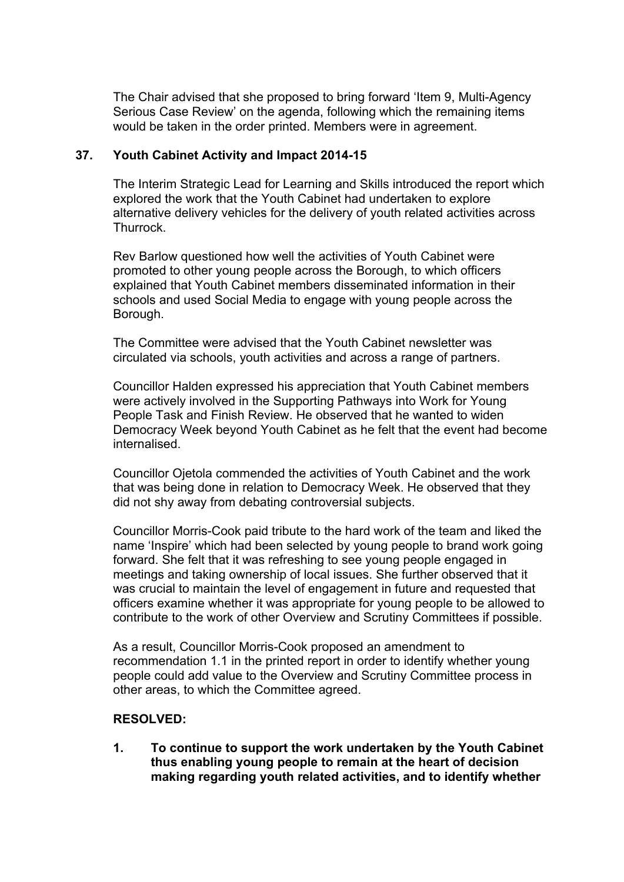The Chair advised that she proposed to bring forward 'Item 9, Multi-Agency Serious Case Review' on the agenda, following which the remaining items would be taken in the order printed. Members were in agreement.

# **37. Youth Cabinet Activity and Impact 2014-15**

The Interim Strategic Lead for Learning and Skills introduced the report which explored the work that the Youth Cabinet had undertaken to explore alternative delivery vehicles for the delivery of youth related activities across **Thurrock** 

Rev Barlow questioned how well the activities of Youth Cabinet were promoted to other young people across the Borough, to which officers explained that Youth Cabinet members disseminated information in their schools and used Social Media to engage with young people across the Borough.

The Committee were advised that the Youth Cabinet newsletter was circulated via schools, youth activities and across a range of partners.

Councillor Halden expressed his appreciation that Youth Cabinet members were actively involved in the Supporting Pathways into Work for Young People Task and Finish Review. He observed that he wanted to widen Democracy Week beyond Youth Cabinet as he felt that the event had become internalised.

Councillor Ojetola commended the activities of Youth Cabinet and the work that was being done in relation to Democracy Week. He observed that they did not shy away from debating controversial subjects.

Councillor Morris-Cook paid tribute to the hard work of the team and liked the name 'Inspire' which had been selected by young people to brand work going forward. She felt that it was refreshing to see young people engaged in meetings and taking ownership of local issues. She further observed that it was crucial to maintain the level of engagement in future and requested that officers examine whether it was appropriate for young people to be allowed to contribute to the work of other Overview and Scrutiny Committees if possible.

As a result, Councillor Morris-Cook proposed an amendment to recommendation 1.1 in the printed report in order to identify whether young people could add value to the Overview and Scrutiny Committee process in other areas, to which the Committee agreed.

# **RESOLVED:**

**1. To continue to support the work undertaken by the Youth Cabinet thus enabling young people to remain at the heart of decision making regarding youth related activities, and to identify whether**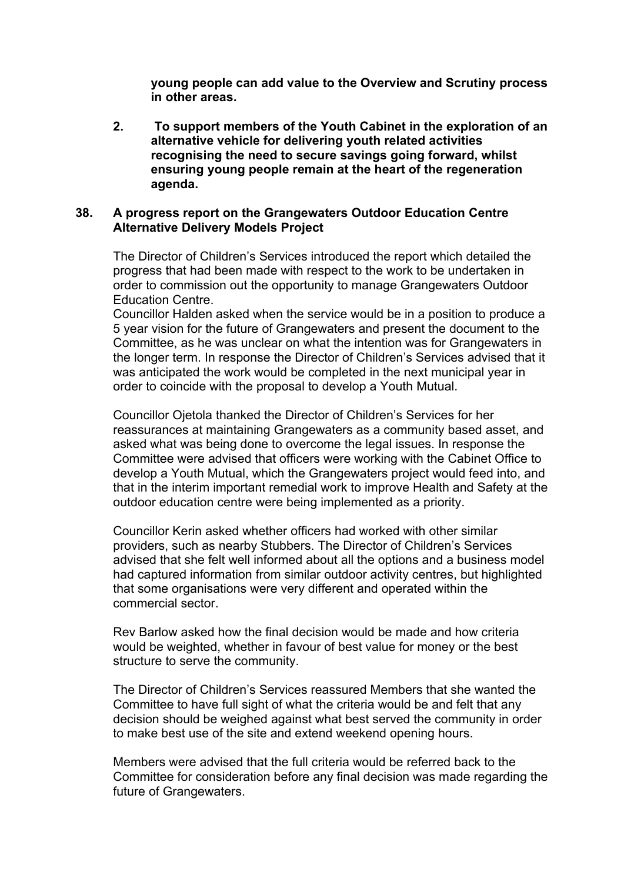**young people can add value to the Overview and Scrutiny process in other areas.**

**2. To support members of the Youth Cabinet in the exploration of an alternative vehicle for delivering youth related activities recognising the need to secure savings going forward, whilst ensuring young people remain at the heart of the regeneration agenda.**

### **38. A progress report on the Grangewaters Outdoor Education Centre Alternative Delivery Models Project**

The Director of Children's Services introduced the report which detailed the progress that had been made with respect to the work to be undertaken in order to commission out the opportunity to manage Grangewaters Outdoor Education Centre.

Councillor Halden asked when the service would be in a position to produce a 5 year vision for the future of Grangewaters and present the document to the Committee, as he was unclear on what the intention was for Grangewaters in the longer term. In response the Director of Children's Services advised that it was anticipated the work would be completed in the next municipal year in order to coincide with the proposal to develop a Youth Mutual.

Councillor Ojetola thanked the Director of Children's Services for her reassurances at maintaining Grangewaters as a community based asset, and asked what was being done to overcome the legal issues. In response the Committee were advised that officers were working with the Cabinet Office to develop a Youth Mutual, which the Grangewaters project would feed into, and that in the interim important remedial work to improve Health and Safety at the outdoor education centre were being implemented as a priority.

Councillor Kerin asked whether officers had worked with other similar providers, such as nearby Stubbers. The Director of Children's Services advised that she felt well informed about all the options and a business model had captured information from similar outdoor activity centres, but highlighted that some organisations were very different and operated within the commercial sector.

Rev Barlow asked how the final decision would be made and how criteria would be weighted, whether in favour of best value for money or the best structure to serve the community.

The Director of Children's Services reassured Members that she wanted the Committee to have full sight of what the criteria would be and felt that any decision should be weighed against what best served the community in order to make best use of the site and extend weekend opening hours.

Members were advised that the full criteria would be referred back to the Committee for consideration before any final decision was made regarding the future of Grangewaters.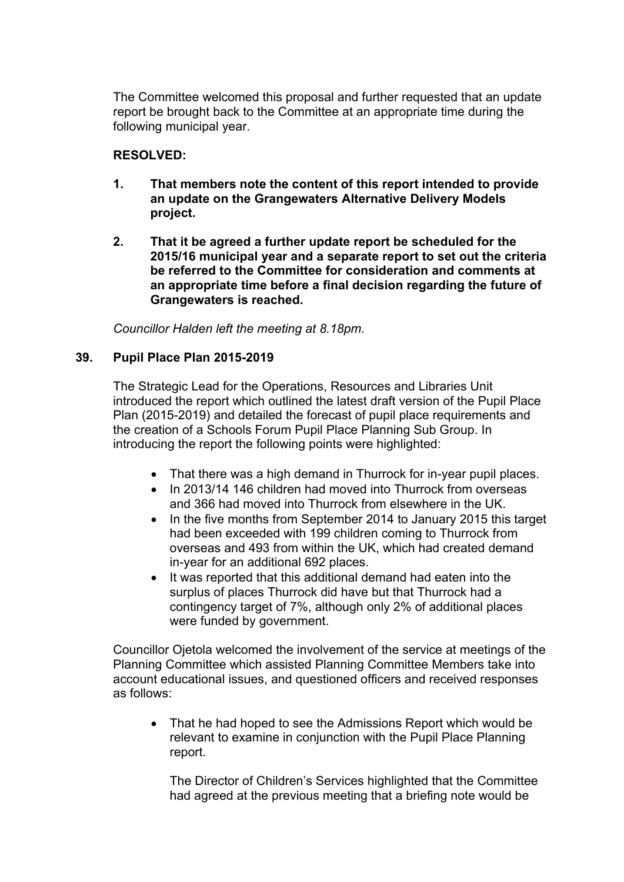The Committee welcomed this proposal and further requested that an update report be brought back to the Committee at an appropriate time during the following municipal year.

# **RESOLVED:**

- **1. That members note the content of this report intended to provide an update on the Grangewaters Alternative Delivery Models project.**
- **2. That it be agreed a further update report be scheduled for the 2015/16 municipal year and a separate report to set out the criteria be referred to the Committee for consideration and comments at an appropriate time before a final decision regarding the future of Grangewaters is reached.**

*Councillor Halden left the meeting at 8.18pm.*

# **39. Pupil Place Plan 2015-2019**

The Strategic Lead for the Operations, Resources and Libraries Unit introduced the report which outlined the latest draft version of the Pupil Place Plan (2015-2019) and detailed the forecast of pupil place requirements and the creation of a Schools Forum Pupil Place Planning Sub Group. In introducing the report the following points were highlighted:

- That there was a high demand in Thurrock for in-year pupil places.
- In 2013/14 146 children had moved into Thurrock from overseas and 366 had moved into Thurrock from elsewhere in the UK.
- In the five months from September 2014 to January 2015 this target had been exceeded with 199 children coming to Thurrock from overseas and 493 from within the UK, which had created demand in-year for an additional 692 places.
- It was reported that this additional demand had eaten into the surplus of places Thurrock did have but that Thurrock had a contingency target of 7%, although only 2% of additional places were funded by government.

Councillor Ojetola welcomed the involvement of the service at meetings of the Planning Committee which assisted Planning Committee Members take into account educational issues, and questioned officers and received responses as follows:

• That he had hoped to see the Admissions Report which would be relevant to examine in conjunction with the Pupil Place Planning report.

The Director of Children's Services highlighted that the Committee had agreed at the previous meeting that a briefing note would be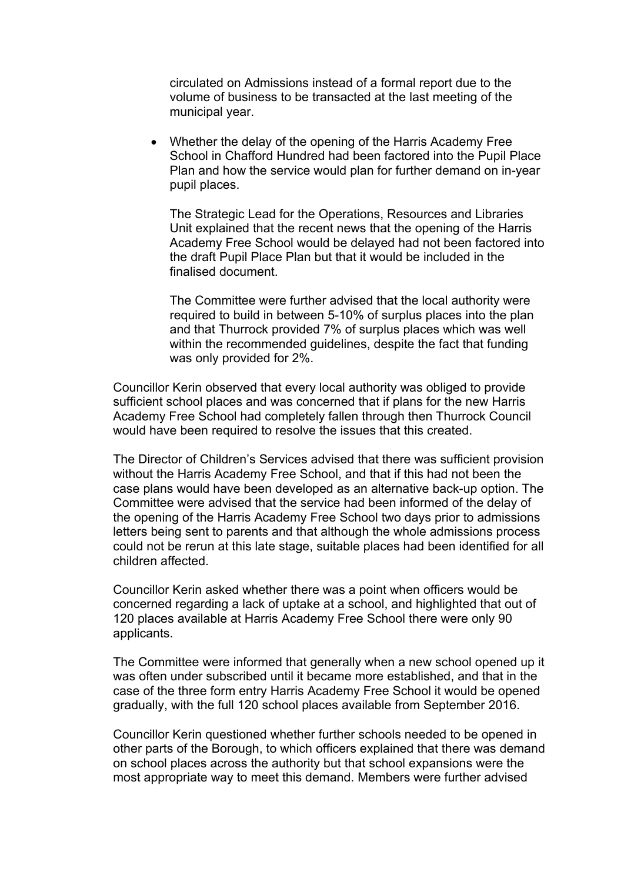circulated on Admissions instead of a formal report due to the volume of business to be transacted at the last meeting of the municipal year.

 Whether the delay of the opening of the Harris Academy Free School in Chafford Hundred had been factored into the Pupil Place Plan and how the service would plan for further demand on in-year pupil places.

The Strategic Lead for the Operations, Resources and Libraries Unit explained that the recent news that the opening of the Harris Academy Free School would be delayed had not been factored into the draft Pupil Place Plan but that it would be included in the finalised document.

The Committee were further advised that the local authority were required to build in between 5-10% of surplus places into the plan and that Thurrock provided 7% of surplus places which was well within the recommended guidelines, despite the fact that funding was only provided for 2%.

Councillor Kerin observed that every local authority was obliged to provide sufficient school places and was concerned that if plans for the new Harris Academy Free School had completely fallen through then Thurrock Council would have been required to resolve the issues that this created.

The Director of Children's Services advised that there was sufficient provision without the Harris Academy Free School, and that if this had not been the case plans would have been developed as an alternative back-up option. The Committee were advised that the service had been informed of the delay of the opening of the Harris Academy Free School two days prior to admissions letters being sent to parents and that although the whole admissions process could not be rerun at this late stage, suitable places had been identified for all children affected.

Councillor Kerin asked whether there was a point when officers would be concerned regarding a lack of uptake at a school, and highlighted that out of 120 places available at Harris Academy Free School there were only 90 applicants.

The Committee were informed that generally when a new school opened up it was often under subscribed until it became more established, and that in the case of the three form entry Harris Academy Free School it would be opened gradually, with the full 120 school places available from September 2016.

Councillor Kerin questioned whether further schools needed to be opened in other parts of the Borough, to which officers explained that there was demand on school places across the authority but that school expansions were the most appropriate way to meet this demand. Members were further advised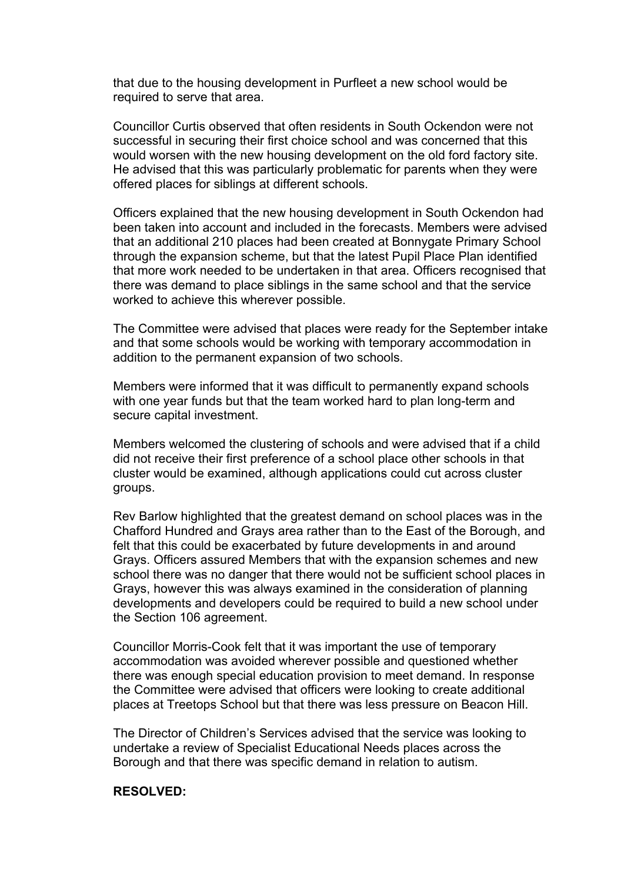that due to the housing development in Purfleet a new school would be required to serve that area.

Councillor Curtis observed that often residents in South Ockendon were not successful in securing their first choice school and was concerned that this would worsen with the new housing development on the old ford factory site. He advised that this was particularly problematic for parents when they were offered places for siblings at different schools.

Officers explained that the new housing development in South Ockendon had been taken into account and included in the forecasts. Members were advised that an additional 210 places had been created at Bonnygate Primary School through the expansion scheme, but that the latest Pupil Place Plan identified that more work needed to be undertaken in that area. Officers recognised that there was demand to place siblings in the same school and that the service worked to achieve this wherever possible.

The Committee were advised that places were ready for the September intake and that some schools would be working with temporary accommodation in addition to the permanent expansion of two schools.

Members were informed that it was difficult to permanently expand schools with one year funds but that the team worked hard to plan long-term and secure capital investment.

Members welcomed the clustering of schools and were advised that if a child did not receive their first preference of a school place other schools in that cluster would be examined, although applications could cut across cluster groups.

Rev Barlow highlighted that the greatest demand on school places was in the Chafford Hundred and Grays area rather than to the East of the Borough, and felt that this could be exacerbated by future developments in and around Grays. Officers assured Members that with the expansion schemes and new school there was no danger that there would not be sufficient school places in Grays, however this was always examined in the consideration of planning developments and developers could be required to build a new school under the Section 106 agreement.

Councillor Morris-Cook felt that it was important the use of temporary accommodation was avoided wherever possible and questioned whether there was enough special education provision to meet demand. In response the Committee were advised that officers were looking to create additional places at Treetops School but that there was less pressure on Beacon Hill.

The Director of Children's Services advised that the service was looking to undertake a review of Specialist Educational Needs places across the Borough and that there was specific demand in relation to autism.

#### **RESOLVED:**